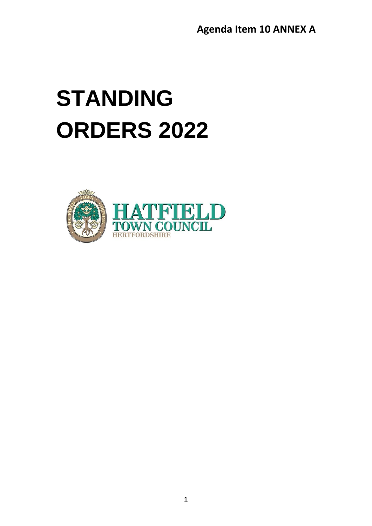# **STANDING ORDERS 2022**

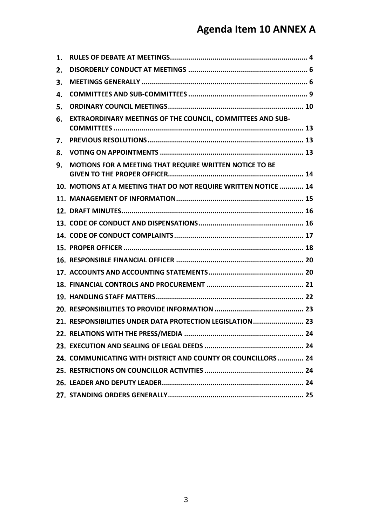| 1. |                                                                   |
|----|-------------------------------------------------------------------|
| 2. |                                                                   |
| 3. |                                                                   |
| 4. |                                                                   |
| 5. |                                                                   |
| 6. | <b>EXTRAORDINARY MEETINGS OF THE COUNCIL, COMMITTEES AND SUB-</b> |
| 7. |                                                                   |
| 8. |                                                                   |
| 9. | MOTIONS FOR A MEETING THAT REQUIRE WRITTEN NOTICE TO BE           |
|    | 10. MOTIONS AT A MEETING THAT DO NOT REQUIRE WRITTEN NOTICE  14   |
|    |                                                                   |
|    |                                                                   |
|    |                                                                   |
|    |                                                                   |
|    |                                                                   |
|    |                                                                   |
|    |                                                                   |
|    |                                                                   |
|    |                                                                   |
|    |                                                                   |
|    | 21. RESPONSIBILITIES UNDER DATA PROTECTION LEGISLATION  23        |
|    | . 24                                                              |
|    |                                                                   |
|    | 24. COMMUNICATING WITH DISTRICT AND COUNTY OR COUNCILLORS 24      |
|    |                                                                   |
|    |                                                                   |
|    |                                                                   |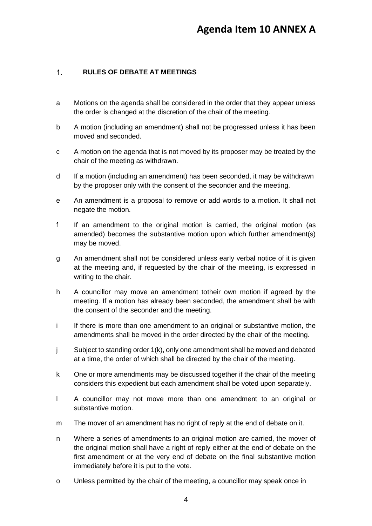#### <span id="page-3-0"></span>**RULES OF DEBATE AT MEETINGS**  $1<sub>1</sub>$

- a Motions on the agenda shall be considered in the order that they appear unless the order is changed at the discretion of the chair of the meeting.
- b A motion (including an amendment) shall not be progressed unless it has been moved and seconded.
- c A motion on the agenda that is not moved by its proposer may be treated by the chair of the meeting as withdrawn.
- d If a motion (including an amendment) has been seconded, it may be withdrawn by the proposer only with the consent of the seconder and the meeting.
- e An amendment is a proposal to remove or add words to a motion. It shall not negate the motion.
- f If an amendment to the original motion is carried, the original motion (as amended) becomes the substantive motion upon which further amendment(s) may be moved.
- g An amendment shall not be considered unless early verbal notice of it is given at the meeting and, if requested by the chair of the meeting, is expressed in writing to the chair.
- h A councillor may move an amendment totheir own motion if agreed by the meeting. If a motion has already been seconded, the amendment shall be with the consent of the seconder and the meeting.
- i If there is more than one amendment to an original or substantive motion, the amendments shall be moved in the order directed by the chair of the meeting.
- j Subject to standing order 1(k), only one amendment shall be moved and debated at a time, the order of which shall be directed by the chair of the meeting.
- k One or more amendments may be discussed together if the chair of the meeting considers this expedient but each amendment shall be voted upon separately.
- l A councillor may not move more than one amendment to an original or substantive motion.
- m The mover of an amendment has no right of reply at the end of debate on it.
- n Where a series of amendments to an original motion are carried, the mover of the original motion shall have a right of reply either at the end of debate on the first amendment or at the very end of debate on the final substantive motion immediately before it is put to the vote.
- o Unless permitted by the chair of the meeting, a councillor may speak once in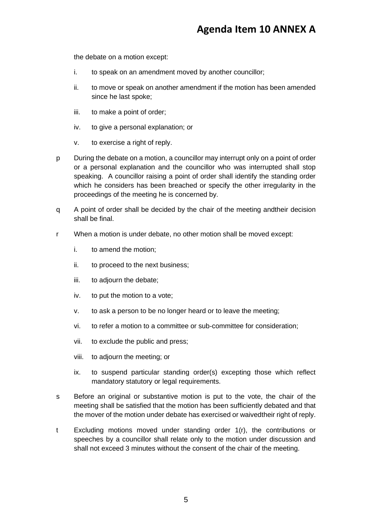the debate on a motion except:

- i. to speak on an amendment moved by another councillor;
- ii. to move or speak on another amendment if the motion has been amended since he last spoke;
- iii. to make a point of order;
- iv. to give a personal explanation; or
- v. to exercise a right of reply.
- p During the debate on a motion, a councillor may interrupt only on a point of order or a personal explanation and the councillor who was interrupted shall stop speaking. A councillor raising a point of order shall identify the standing order which he considers has been breached or specify the other irregularity in the proceedings of the meeting he is concerned by.
- q A point of order shall be decided by the chair of the meeting andtheir decision shall be final.
- r When a motion is under debate, no other motion shall be moved except:
	- i. to amend the motion;
	- ii. to proceed to the next business;
	- iii. to adjourn the debate;
	- iv. to put the motion to a vote;
	- v. to ask a person to be no longer heard or to leave the meeting;
	- vi. to refer a motion to a committee or sub-committee for consideration;
	- vii. to exclude the public and press;
	- viii. to adjourn the meeting; or
	- ix. to suspend particular standing order(s) excepting those which reflect mandatory statutory or legal requirements.
- s Before an original or substantive motion is put to the vote, the chair of the meeting shall be satisfied that the motion has been sufficiently debated and that the mover of the motion under debate has exercised or waivedtheir right of reply.
- t Excluding motions moved under standing order 1(r), the contributions or speeches by a councillor shall relate only to the motion under discussion and shall not exceed 3 minutes without the consent of the chair of the meeting.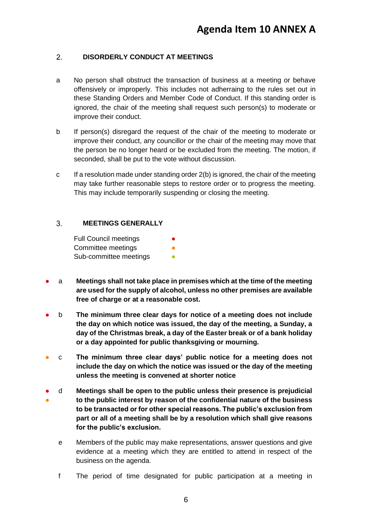#### <span id="page-5-0"></span> $2.$ **DISORDERLY CONDUCT AT MEETINGS**

- a No person shall obstruct the transaction of business at a meeting or behave offensively or improperly. This includes not adherraing to the rules set out in these Standing Orders and Member Code of Conduct. If this standing order is ignored, the chair of the meeting shall request such person(s) to moderate or improve their conduct.
- b If person(s) disregard the request of the chair of the meeting to moderate or improve their conduct, any councillor or the chair of the meeting may move that the person be no longer heard or be excluded from the meeting. The motion, if seconded, shall be put to the vote without discussion.
- c If a resolution made under standing order 2(b) is ignored, the chair of the meeting may take further reasonable steps to restore order or to progress the meeting. This may include temporarily suspending or closing the meeting.

#### <span id="page-5-1"></span> $3<sub>1</sub>$ **MEETINGS GENERALLY**

Full Council meetings Committee meetings Sub-committee meetings

- a **Meetings shall not take place in premises which at the time of the meeting are used for the supply of alcohol, unless no other premises are available free of charge or at a reasonable cost.**
- b **The minimum three clear days for notice of a meeting does not include the day on which notice was issued, the day of the meeting, a Sunday, a day of the Christmas break, a day of the Easter break or of a bank holiday or a day appointed for public thanksgiving or mourning.**
- c **The minimum three clear days' public notice for a meeting does not include the day on which the notice was issued or the day of the meeting unless the meeting is convened at shorter notice**
- ● d **Meetings shall be open to the public unless their presence is prejudicial to the public interest by reason of the confidential nature of the business to be transacted or for other special reasons. The public's exclusion from part or all of a meeting shall be by a resolution which shall give reasons for the public's exclusion.**
	- e Members of the public may make representations, answer questions and give evidence at a meeting which they are entitled to attend in respect of the business on the agenda.
	- f The period of time designated for public participation at a meeting in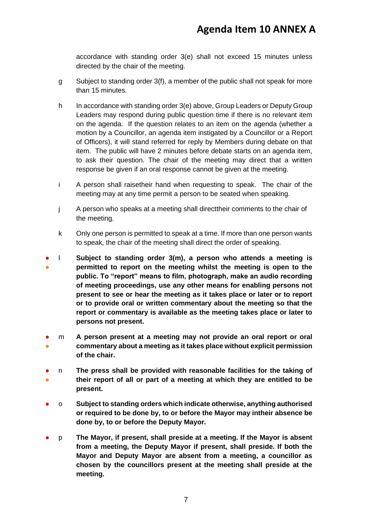accordance with standing order 3(e) shall not exceed 15 minutes unless directed by the chair of the meeting.

- g Subject to standing order 3(f), a member of the public shall not speak for more than 15 minutes.
- h In accordance with standing order 3(e) above, Group Leaders or Deputy Group Leaders may respond during public question time if there is no relevant item on the agenda. If the question relates to an item on the agenda (whether a motion by a Councillor, an agenda item instigated by a Councillor or a Report of Officers), it will stand referred for reply by Members during debate on that item. The public will have 2 minutes before debate starts on an agenda item, to ask their question. The chair of the meeting may direct that a written response be given if an oral response cannot be given at the meeting.
- i A person shall raisetheir hand when requesting to speak. The chair of the meeting may at any time permit a person to be seated when speaking.
- j A person who speaks at a meeting shall directtheir comments to the chair of the meeting.
- k Only one person is permitted to speak at a time. If more than one person wants to speak, the chair of the meeting shall direct the order of speaking.
- ● l **Subject to standing order 3(m), a person who attends a meeting is permitted to report on the meeting whilst the meeting is open to the public. To "report" means to film, photograph, make an audio recording of meeting proceedings, use any other means for enabling persons not present to see or hear the meeting as it takes place or later or to report or to provide oral or written commentary about the meeting so that the report or commentary is available as the meeting takes place or later to persons not present.**
- ● m **A person present at a meeting may not provide an oral report or oral commentary about a meeting as it takes place without explicit permission of the chair.**
- ● n **The press shall be provided with reasonable facilities for the taking of their report of all or part of a meeting at which they are entitled to be present.**
- o **Subject to standing orders which indicate otherwise, anything authorised or required to be done by, to or before the Mayor may intheir absence be done by, to or before the Deputy Mayor.**
- p **The Mayor, if present, shall preside at a meeting. If the Mayor is absent from a meeting, the Deputy Mayor if present, shall preside. If both the Mayor and Deputy Mayor are absent from a meeting, a councillor as chosen by the councillors present at the meeting shall preside at the meeting.**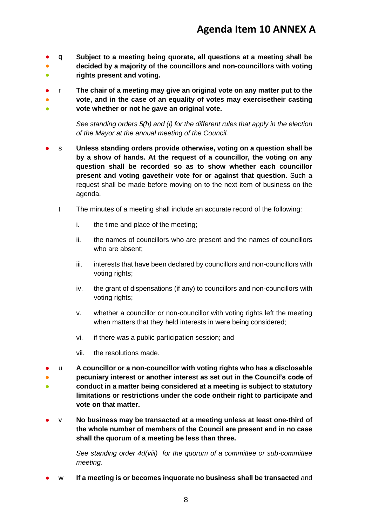- ● ● q **Subject to a meeting being quorate, all questions at a meeting shall be decided by a majority of the councillors and non-councillors with voting rights present and voting.**
- ● ● r **The chair of a meeting may give an original vote on any matter put to the vote, and in the case of an equality of votes may exercisetheir casting vote whether or not he gave an original vote.**

*See standing orders 5(h) and (i) for the different rules that apply in the election of the Mayor at the annual meeting of the Council.*

- s **Unless standing orders provide otherwise, voting on a question shall be by a show of hands. At the request of a councillor, the voting on any question shall be recorded so as to show whether each councillor present and voting gavetheir vote for or against that question.** Such a request shall be made before moving on to the next item of business on the agenda.
	- t The minutes of a meeting shall include an accurate record of the following:
		- i. the time and place of the meeting;
		- ii. the names of councillors who are present and the names of councillors who are absent;
		- iii. interests that have been declared by councillors and non-councillors with voting rights;
		- iv. the grant of dispensations (if any) to councillors and non-councillors with voting rights;
		- v. whether a councillor or non-councillor with voting rights left the meeting when matters that they held interests in were being considered;
		- vi. if there was a public participation session; and
		- vii. the resolutions made.
- ● ● u **A councillor or a non-councillor with voting rights who has a disclosable pecuniary interest or another interest as set out in the Council's code of conduct in a matter being considered at a meeting is subject to statutory limitations or restrictions under the code ontheir right to participate and vote on that matter.**
- v **No business may be transacted at a meeting unless at least one-third of the whole number of members of the Council are present and in no case shall the quorum of a meeting be less than three.**

*See standing order 4d(viii) for the quorum of a committee or sub-committee meeting.* 

w If a meeting is or becomes inquorate no business shall be transacted and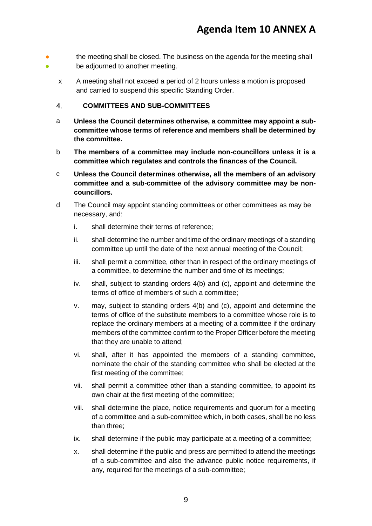- 。<br>● the meeting shall be closed. The business on the agenda for the meeting shall be adjourned to another meeting.
	- x A meeting shall not exceed a period of 2 hours unless a motion is proposed and carried to suspend this specific Standing Order.

#### <span id="page-8-0"></span> $4.$ **COMMITTEES AND SUB-COMMITTEES**

- a **Unless the Council determines otherwise, a committee may appoint a subcommittee whose terms of reference and members shall be determined by the committee.**
- b **The members of a committee may include non-councillors unless it is a committee which regulates and controls the finances of the Council.**
- c **Unless the Council determines otherwise, all the members of an advisory committee and a sub-committee of the advisory committee may be noncouncillors.**
- d The Council may appoint standing committees or other committees as may be necessary, and:
	- i. shall determine their terms of reference;
	- ii. shall determine the number and time of the ordinary meetings of a standing committee up until the date of the next annual meeting of the Council;
	- iii. shall permit a committee, other than in respect of the ordinary meetings of a committee, to determine the number and time of its meetings;
	- iv. shall, subject to standing orders 4(b) and (c), appoint and determine the terms of office of members of such a committee;
	- v. may, subject to standing orders 4(b) and (c), appoint and determine the terms of office of the substitute members to a committee whose role is to replace the ordinary members at a meeting of a committee if the ordinary members of the committee confirm to the Proper Officer before the meeting that they are unable to attend;
	- vi. shall, after it has appointed the members of a standing committee, nominate the chair of the standing committee who shall be elected at the first meeting of the committee;
	- vii. shall permit a committee other than a standing committee, to appoint its own chair at the first meeting of the committee;
	- viii. shall determine the place, notice requirements and quorum for a meeting of a committee and a sub-committee which, in both cases, shall be no less than three;
	- ix. shall determine if the public may participate at a meeting of a committee;
	- x. shall determine if the public and press are permitted to attend the meetings of a sub-committee and also the advance public notice requirements, if any, required for the meetings of a sub-committee;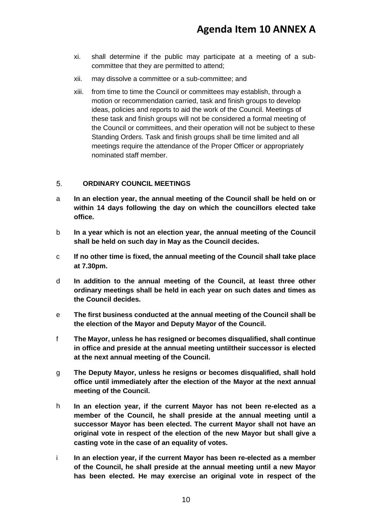- xi. shall determine if the public may participate at a meeting of a subcommittee that they are permitted to attend;
- xii. may dissolve a committee or a sub-committee; and
- xiii. from time to time the Council or committees may establish, through a motion or recommendation carried, task and finish groups to develop ideas, policies and reports to aid the work of the Council. Meetings of these task and finish groups will not be considered a formal meeting of the Council or committees, and their operation will not be subject to these Standing Orders. Task and finish groups shall be time limited and all meetings require the attendance of the Proper Officer or appropriately nominated staff member.

#### <span id="page-9-0"></span> $5<sub>1</sub>$ **ORDINARY COUNCIL MEETINGS**

- a **In an election year, the annual meeting of the Council shall be held on or within 14 days following the day on which the councillors elected take office.**
- b **In a year which is not an election year, the annual meeting of the Council shall be held on such day in May as the Council decides.**
- c **If no other time is fixed, the annual meeting of the Council shall take place at 7.30pm.**
- d **In addition to the annual meeting of the Council, at least three other ordinary meetings shall be held in each year on such dates and times as the Council decides.**
- e **The first business conducted at the annual meeting of the Council shall be the election of the Mayor and Deputy Mayor of the Council.**
- f **The Mayor, unless he has resigned or becomes disqualified, shall continue in office and preside at the annual meeting untiltheir successor is elected at the next annual meeting of the Council.**
- g **The Deputy Mayor, unless he resigns or becomes disqualified, shall hold office until immediately after the election of the Mayor at the next annual meeting of the Council.**
- h **In an election year, if the current Mayor has not been re-elected as a member of the Council, he shall preside at the annual meeting until a successor Mayor has been elected. The current Mayor shall not have an original vote in respect of the election of the new Mayor but shall give a casting vote in the case of an equality of votes.**
- i **In an election year, if the current Mayor has been re-elected as a member of the Council, he shall preside at the annual meeting until a new Mayor has been elected. He may exercise an original vote in respect of the**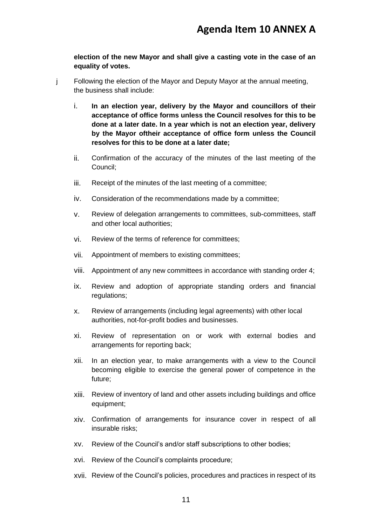**election of the new Mayor and shall give a casting vote in the case of an equality of votes.**

- j Following the election of the Mayor and Deputy Mayor at the annual meeting, the business shall include:
	- i. **In an election year, delivery by the Mayor and councillors of their acceptance of office forms unless the Council resolves for this to be done at a later date. In a year which is not an election year, delivery by the Mayor oftheir acceptance of office form unless the Council resolves for this to be done at a later date;**
	- ii. Confirmation of the accuracy of the minutes of the last meeting of the Council;
	- iii. Receipt of the minutes of the last meeting of a committee;
	- iv. Consideration of the recommendations made by a committee;
	- v. Review of delegation arrangements to committees, sub-committees, staff and other local authorities;
	- vi. Review of the terms of reference for committees;
	- vii. Appointment of members to existing committees;
	- viii. Appointment of any new committees in accordance with standing order 4;
	- ix. Review and adoption of appropriate standing orders and financial regulations;
	- x. Review of arrangements (including legal agreements) with other local authorities, not-for-profit bodies and businesses.
	- xi. Review of representation on or work with external bodies and arrangements for reporting back;
	- xii. In an election year, to make arrangements with a view to the Council becoming eligible to exercise the general power of competence in the future;
	- xiii. Review of inventory of land and other assets including buildings and office equipment;
	- xiv. Confirmation of arrangements for insurance cover in respect of all insurable risks;
	- xv. Review of the Council's and/or staff subscriptions to other bodies;
	- xvi. Review of the Council's complaints procedure;
	- xvii. Review of the Council's policies, procedures and practices in respect of its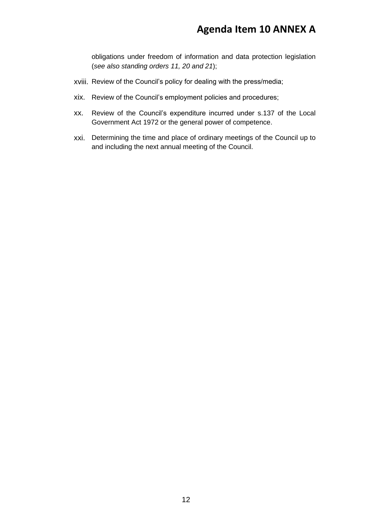obligations under freedom of information and data protection legislation (*see also standing orders 11, 20 and 21*);

- xviii. Review of the Council's policy for dealing with the press/media;
- xix. Review of the Council's employment policies and procedures;
- xx. Review of the Council's expenditure incurred under s.137 of the Local Government Act 1972 or the general power of competence.
- xxi. Determining the time and place of ordinary meetings of the Council up to and including the next annual meeting of the Council.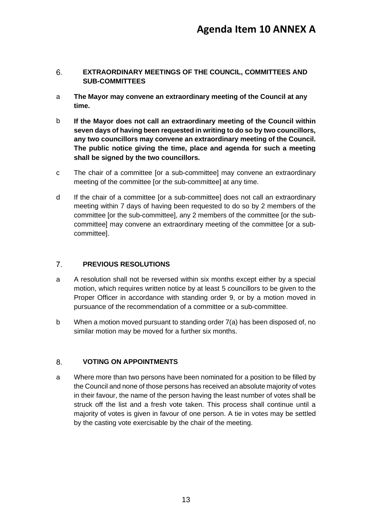#### <span id="page-12-0"></span>**EXTRAORDINARY MEETINGS OF THE COUNCIL, COMMITTEES AND**   $6.$ **SUB-COMMITTEES**

- a **The Mayor may convene an extraordinary meeting of the Council at any time.**
- b **If the Mayor does not call an extraordinary meeting of the Council within seven days of having been requested in writing to do so by two councillors, any two councillors may convene an extraordinary meeting of the Council. The public notice giving the time, place and agenda for such a meeting shall be signed by the two councillors.**
- c The chair of a committee [or a sub-committee] may convene an extraordinary meeting of the committee [or the sub-committee] at any time.
- d If the chair of a committee [or a sub-committee] does not call an extraordinary meeting within 7 days of having been requested to do so by 2 members of the committee [or the sub-committee], any 2 members of the committee [or the subcommittee] may convene an extraordinary meeting of the committee [or a subcommittee].

#### <span id="page-12-1"></span> $7<sub>1</sub>$ **PREVIOUS RESOLUTIONS**

- a A resolution shall not be reversed within six months except either by a special motion, which requires written notice by at least 5 councillors to be given to the Proper Officer in accordance with standing order 9, or by a motion moved in pursuance of the recommendation of a committee or a sub-committee.
- b When a motion moved pursuant to standing order 7(a) has been disposed of, no similar motion may be moved for a further six months.

#### <span id="page-12-2"></span> $8<sub>1</sub>$ **VOTING ON APPOINTMENTS**

a Where more than two persons have been nominated for a position to be filled by the Council and none of those persons has received an absolute majority of votes in their favour, the name of the person having the least number of votes shall be struck off the list and a fresh vote taken. This process shall continue until a majority of votes is given in favour of one person. A tie in votes may be settled by the casting vote exercisable by the chair of the meeting.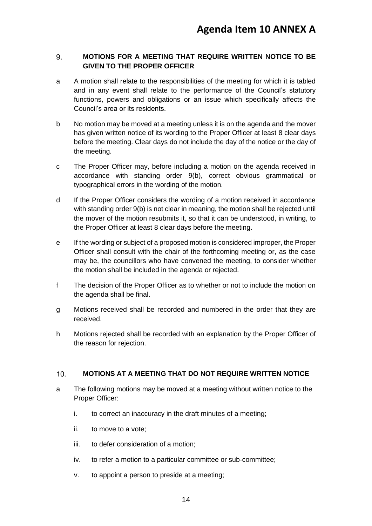#### <span id="page-13-0"></span>9. **MOTIONS FOR A MEETING THAT REQUIRE WRITTEN NOTICE TO BE GIVEN TO THE PROPER OFFICER**

- a A motion shall relate to the responsibilities of the meeting for which it is tabled and in any event shall relate to the performance of the Council's statutory functions, powers and obligations or an issue which specifically affects the Council's area or its residents.
- b No motion may be moved at a meeting unless it is on the agenda and the mover has given written notice of its wording to the Proper Officer at least 8 clear days before the meeting. Clear days do not include the day of the notice or the day of the meeting.
- c The Proper Officer may, before including a motion on the agenda received in accordance with standing order 9(b), correct obvious grammatical or typographical errors in the wording of the motion.
- d If the Proper Officer considers the wording of a motion received in accordance with standing order 9(b) is not clear in meaning, the motion shall be rejected until the mover of the motion resubmits it, so that it can be understood, in writing, to the Proper Officer at least 8 clear days before the meeting.
- e If the wording or subject of a proposed motion is considered improper, the Proper Officer shall consult with the chair of the forthcoming meeting or, as the case may be, the councillors who have convened the meeting, to consider whether the motion shall be included in the agenda or rejected.
- f The decision of the Proper Officer as to whether or not to include the motion on the agenda shall be final.
- g Motions received shall be recorded and numbered in the order that they are received.
- h Motions rejected shall be recorded with an explanation by the Proper Officer of the reason for rejection.

#### <span id="page-13-1"></span>**MOTIONS AT A MEETING THAT DO NOT REQUIRE WRITTEN NOTICE**   $10<sup>1</sup>$

- a The following motions may be moved at a meeting without written notice to the Proper Officer:
	- i. to correct an inaccuracy in the draft minutes of a meeting;
	- ii. to move to a vote;
	- iii. to defer consideration of a motion;
	- iv. to refer a motion to a particular committee or sub-committee;
	- v. to appoint a person to preside at a meeting;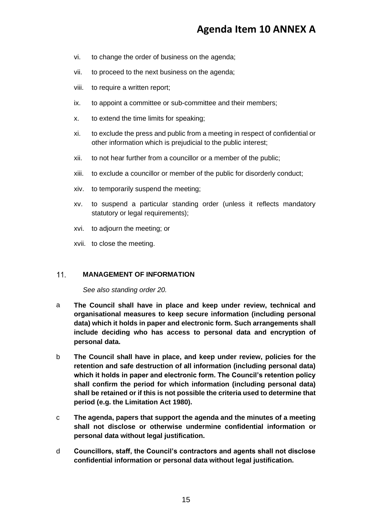- vi. to change the order of business on the agenda;
- vii. to proceed to the next business on the agenda;
- viii. to require a written report;
- ix. to appoint a committee or sub-committee and their members;
- x. to extend the time limits for speaking;
- xi. to exclude the press and public from a meeting in respect of confidential or other information which is prejudicial to the public interest;
- xii. to not hear further from a councillor or a member of the public;
- xiii. to exclude a councillor or member of the public for disorderly conduct;
- xiv. to temporarily suspend the meeting;
- xv. to suspend a particular standing order (unless it reflects mandatory statutory or legal requirements);
- xvi. to adjourn the meeting; or
- xvii. to close the meeting.

#### <span id="page-14-0"></span> $11.$ **MANAGEMENT OF INFORMATION**

*See also standing order 20.*

- a **The Council shall have in place and keep under review, technical and organisational measures to keep secure information (including personal data) which it holds in paper and electronic form. Such arrangements shall include deciding who has access to personal data and encryption of personal data.**
- b **The Council shall have in place, and keep under review, policies for the retention and safe destruction of all information (including personal data) which it holds in paper and electronic form. The Council's retention policy shall confirm the period for which information (including personal data) shall be retained or if this is not possible the criteria used to determine that period (e.g. the Limitation Act 1980).**
- c **The agenda, papers that support the agenda and the minutes of a meeting shall not disclose or otherwise undermine confidential information or personal data without legal justification.**
- d **Councillors, staff, the Council's contractors and agents shall not disclose confidential information or personal data without legal justification.**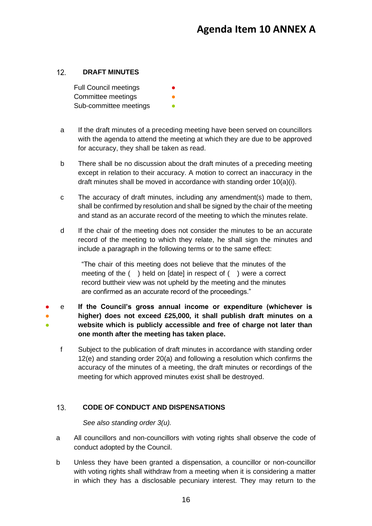#### <span id="page-15-0"></span> $12<sub>1</sub>$ **DRAFT MINUTES**

Full Council meetings Committee meetings Sub-committee meetings

- a If the draft minutes of a preceding meeting have been served on councillors with the agenda to attend the meeting at which they are due to be approved for accuracy, they shall be taken as read.
- b There shall be no discussion about the draft minutes of a preceding meeting except in relation to their accuracy. A motion to correct an inaccuracy in the draft minutes shall be moved in accordance with standing order 10(a)(i).
- c The accuracy of draft minutes, including any amendment(s) made to them, shall be confirmed by resolution and shall be signed by the chair of the meeting and stand as an accurate record of the meeting to which the minutes relate.
- d If the chair of the meeting does not consider the minutes to be an accurate record of the meeting to which they relate, he shall sign the minutes and include a paragraph in the following terms or to the same effect:

"The chair of this meeting does not believe that the minutes of the meeting of the ( ) held on [date] in respect of ( ) were a correct record buttheir view was not upheld by the meeting and the minutes are confirmed as an accurate record of the proceedings."

- ● ● e **If the Council's gross annual income or expenditure (whichever is higher) does not exceed £25,000, it shall publish draft minutes on a website which is publicly accessible and free of charge not later than one month after the meeting has taken place.**
	- f Subject to the publication of draft minutes in accordance with standing order 12(e) and standing order 20(a) and following a resolution which confirms the accuracy of the minutes of a meeting, the draft minutes or recordings of the meeting for which approved minutes exist shall be destroyed.

#### <span id="page-15-1"></span> $13.$ **CODE OF CONDUCT AND DISPENSATIONS**

*See also standing order 3(u).*

- a All councillors and non-councillors with voting rights shall observe the code of conduct adopted by the Council.
- b Unless they have been granted a dispensation, a councillor or non-councillor with voting rights shall withdraw from a meeting when it is considering a matter in which they has a disclosable pecuniary interest. They may return to the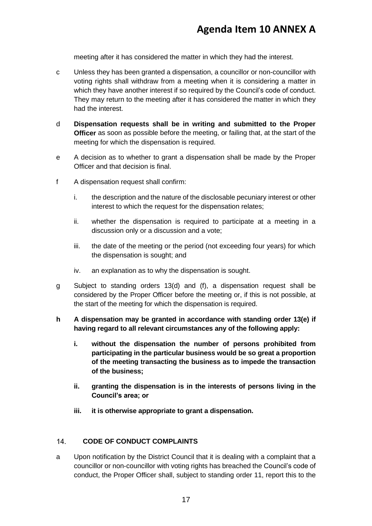meeting after it has considered the matter in which they had the interest.

- c Unless they has been granted a dispensation, a councillor or non-councillor with voting rights shall withdraw from a meeting when it is considering a matter in which they have another interest if so required by the Council's code of conduct. They may return to the meeting after it has considered the matter in which they had the interest.
- d **Dispensation requests shall be in writing and submitted to the Proper Officer** as soon as possible before the meeting, or failing that, at the start of the meeting for which the dispensation is required.
- e A decision as to whether to grant a dispensation shall be made by the Proper Officer and that decision is final.
- f A dispensation request shall confirm:
	- i. the description and the nature of the disclosable pecuniary interest or other interest to which the request for the dispensation relates;
	- ii. whether the dispensation is required to participate at a meeting in a discussion only or a discussion and a vote;
	- iii. the date of the meeting or the period (not exceeding four years) for which the dispensation is sought; and
	- iv. an explanation as to why the dispensation is sought.
- g Subject to standing orders 13(d) and (f), a dispensation request shall be considered by the Proper Officer before the meeting or, if this is not possible, at the start of the meeting for which the dispensation is required.
- **h A dispensation may be granted in accordance with standing order 13(e) if having regard to all relevant circumstances any of the following apply:**
	- **i. without the dispensation the number of persons prohibited from participating in the particular business would be so great a proportion of the meeting transacting the business as to impede the transaction of the business;**
	- **ii. granting the dispensation is in the interests of persons living in the Council's area; or**
	- **iii. it is otherwise appropriate to grant a dispensation.**

#### <span id="page-16-0"></span> $14.$ **CODE OF CONDUCT COMPLAINTS**

a Upon notification by the District Council that it is dealing with a complaint that a councillor or non-councillor with voting rights has breached the Council's code of conduct, the Proper Officer shall, subject to standing order 11, report this to the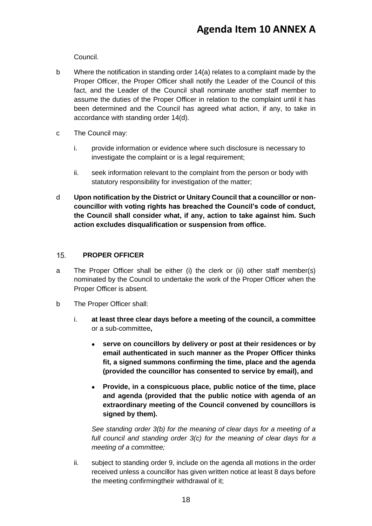Council.

- b Where the notification in standing order 14(a) relates to a complaint made by the Proper Officer, the Proper Officer shall notify the Leader of the Council of this fact, and the Leader of the Council shall nominate another staff member to assume the duties of the Proper Officer in relation to the complaint until it has been determined and the Council has agreed what action, if any, to take in accordance with standing order 14(d).
- c The Council may:
	- i. provide information or evidence where such disclosure is necessary to investigate the complaint or is a legal requirement;
	- ii. seek information relevant to the complaint from the person or body with statutory responsibility for investigation of the matter;
- d **Upon notification by the District or Unitary Council that a councillor or noncouncillor with voting rights has breached the Council's code of conduct, the Council shall consider what, if any, action to take against him. Such action excludes disqualification or suspension from office.**

#### <span id="page-17-0"></span> $15.$ **PROPER OFFICER**

- a The Proper Officer shall be either (i) the clerk or (ii) other staff member(s) nominated by the Council to undertake the work of the Proper Officer when the Proper Officer is absent.
- b The Proper Officer shall:
	- i. **at least three clear days before a meeting of the council, a committee**  or a sub-committee**,**
		- **serve on councillors by delivery or post at their residences or by email authenticated in such manner as the Proper Officer thinks fit, a signed summons confirming the time, place and the agenda (provided the councillor has consented to service by email), and**
		- **Provide, in a conspicuous place, public notice of the time, place and agenda (provided that the public notice with agenda of an extraordinary meeting of the Council convened by councillors is signed by them).**

*See standing order 3(b) for the meaning of clear days for a meeting of a full council and standing order 3(c) for the meaning of clear days for a meeting of a committee;*

ii. subject to standing order 9, include on the agenda all motions in the order received unless a councillor has given written notice at least 8 days before the meeting confirmingtheir withdrawal of it;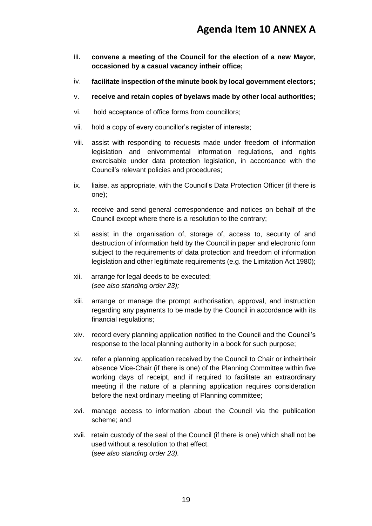- iii. **convene a meeting of the Council for the election of a new Mayor, occasioned by a casual vacancy intheir office;**
- iv. **facilitate inspection of the minute book by local government electors;**
- v. **receive and retain copies of byelaws made by other local authorities;**
- vi. hold acceptance of office forms from councillors;
- vii. hold a copy of every councillor's register of interests;
- viii. assist with responding to requests made under freedom of information legislation and enivornmental information regulations, and rights exercisable under data protection legislation, in accordance with the Council's relevant policies and procedures;
- ix. liaise, as appropriate, with the Council's Data Protection Officer (if there is one);
- x. receive and send general correspondence and notices on behalf of the Council except where there is a resolution to the contrary;
- xi. assist in the organisation of, storage of, access to, security of and destruction of information held by the Council in paper and electronic form subject to the requirements of data protection and freedom of information legislation and other legitimate requirements (e.g. the Limitation Act 1980);
- xii. arrange for legal deeds to be executed; (*see also standing order 23);*
- xiii. arrange or manage the prompt authorisation, approval, and instruction regarding any payments to be made by the Council in accordance with its financial regulations;
- xiv. record every planning application notified to the Council and the Council's response to the local planning authority in a book for such purpose;
- xv. refer a planning application received by the Council to Chair or intheirtheir absence Vice-Chair (if there is one) of the Planning Committee within five working days of receipt, and if required to facilitate an extraordinary meeting if the nature of a planning application requires consideration before the next ordinary meeting of Planning committee;
- xvi. manage access to information about the Council via the publication scheme; and
- xvii. retain custody of the seal of the Council (if there is one) which shall not be used without a resolution to that effect. (s*ee also standing order 23).*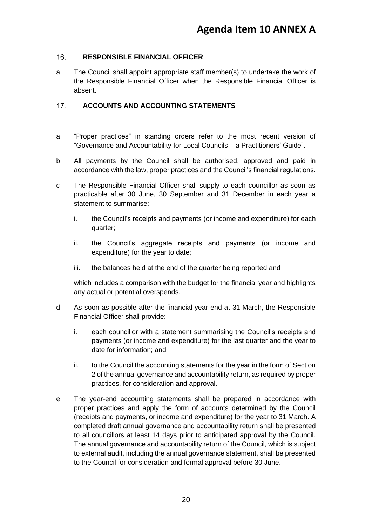#### <span id="page-19-0"></span> $16.$ **RESPONSIBLE FINANCIAL OFFICER**

a The Council shall appoint appropriate staff member(s) to undertake the work of the Responsible Financial Officer when the Responsible Financial Officer is absent.

#### <span id="page-19-1"></span> $17.$ **ACCOUNTS AND ACCOUNTING STATEMENTS**

- a "Proper practices" in standing orders refer to the most recent version of "Governance and Accountability for Local Councils – a Practitioners' Guide".
- b All payments by the Council shall be authorised, approved and paid in accordance with the law, proper practices and the Council's financial regulations.
- c The Responsible Financial Officer shall supply to each councillor as soon as practicable after 30 June, 30 September and 31 December in each year a statement to summarise:
	- i. the Council's receipts and payments (or income and expenditure) for each quarter;
	- ii. the Council's aggregate receipts and payments (or income and expenditure) for the year to date;
	- iii. the balances held at the end of the quarter being reported and

which includes a comparison with the budget for the financial year and highlights any actual or potential overspends.

- d As soon as possible after the financial year end at 31 March, the Responsible Financial Officer shall provide:
	- i. each councillor with a statement summarising the Council's receipts and payments (or income and expenditure) for the last quarter and the year to date for information; and
	- ii. to the Council the accounting statements for the year in the form of Section 2 of the annual governance and accountability return, as required by proper practices, for consideration and approval.
- e The year-end accounting statements shall be prepared in accordance with proper practices and apply the form of accounts determined by the Council (receipts and payments, or income and expenditure) for the year to 31 March. A completed draft annual governance and accountability return shall be presented to all councillors at least 14 days prior to anticipated approval by the Council. The annual governance and accountability return of the Council, which is subject to external audit, including the annual governance statement, shall be presented to the Council for consideration and formal approval before 30 June.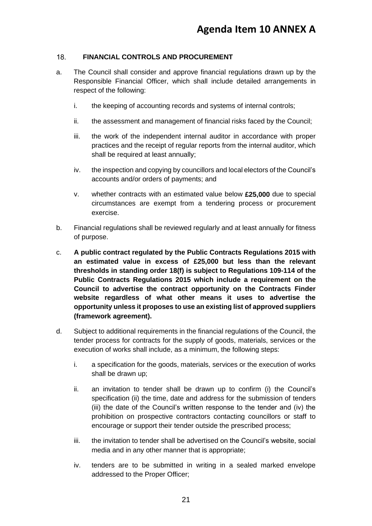#### <span id="page-20-0"></span> $18.$ **FINANCIAL CONTROLS AND PROCUREMENT**

- a. The Council shall consider and approve financial regulations drawn up by the Responsible Financial Officer, which shall include detailed arrangements in respect of the following:
	- i. the keeping of accounting records and systems of internal controls;
	- ii. the assessment and management of financial risks faced by the Council;
	- iii. the work of the independent internal auditor in accordance with proper practices and the receipt of regular reports from the internal auditor, which shall be required at least annually;
	- iv. the inspection and copying by councillors and local electors of the Council's accounts and/or orders of payments; and
	- v. whether contracts with an estimated value below **£25,000** due to special circumstances are exempt from a tendering process or procurement exercise.
- b. Financial regulations shall be reviewed regularly and at least annually for fitness of purpose.
- c. **A public contract regulated by the Public Contracts Regulations 2015 with an estimated value in excess of £25,000 but less than the relevant thresholds in standing order 18(f) is subject to Regulations 109-114 of the Public Contracts Regulations 2015 which include a requirement on the Council to advertise the contract opportunity on the Contracts Finder website regardless of what other means it uses to advertise the opportunity unless it proposes to use an existing list of approved suppliers (framework agreement).**
- d. Subject to additional requirements in the financial regulations of the Council, the tender process for contracts for the supply of goods, materials, services or the execution of works shall include, as a minimum, the following steps:
	- i. a specification for the goods, materials, services or the execution of works shall be drawn up;
	- ii. an invitation to tender shall be drawn up to confirm (i) the Council's specification (ii) the time, date and address for the submission of tenders (iii) the date of the Council's written response to the tender and (iv) the prohibition on prospective contractors contacting councillors or staff to encourage or support their tender outside the prescribed process;
	- iii. the invitation to tender shall be advertised on the Council's website, social media and in any other manner that is appropriate;
	- iv. tenders are to be submitted in writing in a sealed marked envelope addressed to the Proper Officer;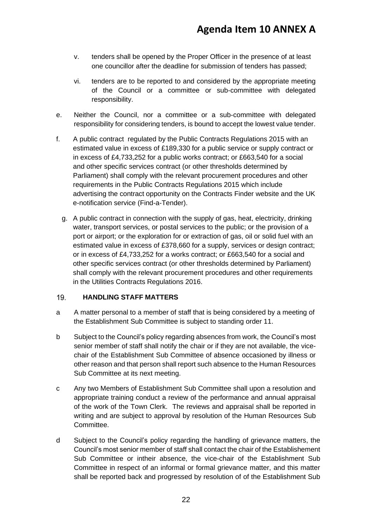- v. tenders shall be opened by the Proper Officer in the presence of at least one councillor after the deadline for submission of tenders has passed;
- vi. tenders are to be reported to and considered by the appropriate meeting of the Council or a committee or sub-committee with delegated responsibility.
- e. Neither the Council, nor a committee or a sub-committee with delegated responsibility for considering tenders, is bound to accept the lowest value tender.
- f. A public contract regulated by the Public Contracts Regulations 2015 with an estimated value in excess of £189,330 for a public service or supply contract or in excess of £4,733,252 for a public works contract; or £663,540 for a social and other specific services contract (or other thresholds determined by Parliament) shall comply with the relevant procurement procedures and other requirements in the Public Contracts Regulations 2015 which include advertising the contract opportunity on the Contracts Finder website and the UK e-notification service (Find-a-Tender).
	- g. A public contract in connection with the supply of gas, heat, electricity, drinking water, transport services, or postal services to the public; or the provision of a port or airport; or the exploration for or extraction of gas, oil or solid fuel with an estimated value in excess of £378,660 for a supply, services or design contract; or in excess of £4,733,252 for a works contract; or £663,540 for a social and other specific services contract (or other thresholds determined by Parliament) shall comply with the relevant procurement procedures and other requirements in the Utilities Contracts Regulations 2016.

#### <span id="page-21-0"></span> $19.$ **HANDLING STAFF MATTERS**

- a A matter personal to a member of staff that is being considered by a meeting of the Establishment Sub Committee is subject to standing order 11.
- b Subject to the Council's policy regarding absences from work, the Council's most senior member of staff shall notify the chair or if they are not available, the vicechair of the Establishment Sub Committee of absence occasioned by illness or other reason and that person shall report such absence to the Human Resources Sub Committee at its next meeting.
- c Any two Members of Establishment Sub Committee shall upon a resolution and appropriate training conduct a review of the performance and annual appraisal of the work of the Town Clerk. The reviews and appraisal shall be reported in writing and are subject to approval by resolution of the Human Resources Sub Committee.
- d Subject to the Council's policy regarding the handling of grievance matters, the Council's most senior member of staff shall contact the chair of the Establishement Sub Committee or intheir absence, the vice-chair of the Establishment Sub Committee in respect of an informal or formal grievance matter, and this matter shall be reported back and progressed by resolution of of the Establishment Sub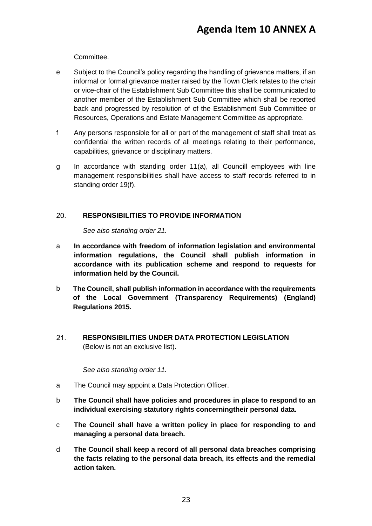Committee.

- e Subject to the Council's policy regarding the handling of grievance matters, if an informal or formal grievance matter raised by the Town Clerk relates to the chair or vice-chair of the Establishment Sub Committee this shall be communicated to another member of the Establishment Sub Committee which shall be reported back and progressed by resolution of of the Establishment Sub Committee or Resources, Operations and Estate Management Committee as appropriate.
- f Any persons responsible for all or part of the management of staff shall treat as confidential the written records of all meetings relating to their performance, capabilities, grievance or disciplinary matters.
- g In accordance with standing order 11(a), all Councill employees with line management responsibilities shall have access to staff records referred to in standing order 19(f).

#### <span id="page-22-0"></span>20. **RESPONSIBILITIES TO PROVIDE INFORMATION**

*See also standing order 21.*

- a **In accordance with freedom of information legislation and environmental information regulations, the Council shall publish information in accordance with its publication scheme and respond to requests for information held by the Council.**
- b **The Council, shall publish information in accordance with the requirements of the Local Government (Transparency Requirements) (England) Regulations 2015**.
- <span id="page-22-1"></span> $21.$ **RESPONSIBILITIES UNDER DATA PROTECTION LEGISLATION**  (Below is not an exclusive list).

*See also standing order 11.*

- a The Council may appoint a Data Protection Officer.
- b **The Council shall have policies and procedures in place to respond to an individual exercising statutory rights concerningtheir personal data.**
- c **The Council shall have a written policy in place for responding to and managing a personal data breach.**
- d **The Council shall keep a record of all personal data breaches comprising the facts relating to the personal data breach, its effects and the remedial action taken.**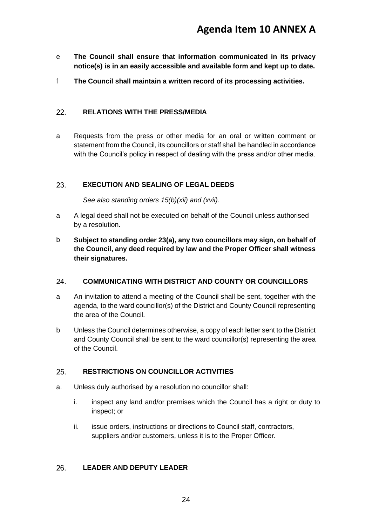- e **The Council shall ensure that information communicated in its privacy notice(s) is in an easily accessible and available form and kept up to date.**
- f **The Council shall maintain a written record of its processing activities.**

#### <span id="page-23-0"></span> $22.$ **RELATIONS WITH THE PRESS/MEDIA**

a Requests from the press or other media for an oral or written comment or statement from the Council, its councillors or staff shall be handled in accordance with the Council's policy in respect of dealing with the press and/or other media.

#### <span id="page-23-1"></span>23. **EXECUTION AND SEALING OF LEGAL DEEDS**

*See also standing orders 15(b)(xii) and (xvii).*

- a A legal deed shall not be executed on behalf of the Council unless authorised by a resolution.
- b **Subject to standing order 23(a), any two councillors may sign, on behalf of the Council, any deed required by law and the Proper Officer shall witness their signatures.**

#### <span id="page-23-2"></span>24. **COMMUNICATING WITH DISTRICT AND COUNTY OR COUNCILLORS**

- a An invitation to attend a meeting of the Council shall be sent, together with the agenda, to the ward councillor(s) of the District and County Council representing the area of the Council.
- b Unless the Council determines otherwise, a copy of each letter sent to the District and County Council shall be sent to the ward councillor(s) representing the area of the Council.

#### <span id="page-23-3"></span>25. **RESTRICTIONS ON COUNCILLOR ACTIVITIES**

- a. Unless duly authorised by a resolution no councillor shall:
	- i. inspect any land and/or premises which the Council has a right or duty to inspect; or
	- ii. issue orders, instructions or directions to Council staff, contractors, suppliers and/or customers, unless it is to the Proper Officer.

#### <span id="page-23-4"></span>26. **LEADER AND DEPUTY LEADER**